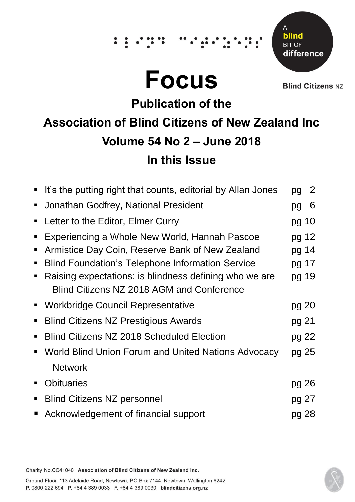# **Focus**

Δ blind **BIT OF** difference

∵. .

**Blind Citizens NZ** 

# **Publication of the Association of Blind Citizens of New Zealand Inc Volume 54 No 2 – June 2018 In this Issue**

|                | • It's the putting right that counts, editorial by Allan Jones                                      | pg    | 2 |
|----------------|-----------------------------------------------------------------------------------------------------|-------|---|
| $\blacksquare$ | Jonathan Godfrey, National President                                                                | pg    | 6 |
| п              | Letter to the Editor, Elmer Curry                                                                   | pg 10 |   |
| п              | Experiencing a Whole New World, Hannah Pascoe                                                       | pg 12 |   |
| п              | Armistice Day Coin, Reserve Bank of New Zealand                                                     | pg 14 |   |
| п              | <b>Blind Foundation's Telephone Information Service</b>                                             | pg 17 |   |
|                | Raising expectations: is blindness defining who we are<br>Blind Citizens NZ 2018 AGM and Conference | pg 19 |   |
|                | • Workbridge Council Representative                                                                 | pg 20 |   |
| п              | <b>Blind Citizens NZ Prestigious Awards</b>                                                         | pg 21 |   |
| п              | <b>Blind Citizens NZ 2018 Scheduled Election</b>                                                    | pg 22 |   |
|                | • World Blind Union Forum and United Nations Advocacy                                               | pg 25 |   |
|                | <b>Network</b>                                                                                      |       |   |
| $\blacksquare$ | <b>Obituaries</b>                                                                                   | pg 26 |   |
| $\blacksquare$ | <b>Blind Citizens NZ personnel</b>                                                                  | pg 27 |   |
|                | Acknowledgement of financial support                                                                | pg 28 |   |
|                |                                                                                                     |       |   |

Charity No.CC41040 Association of Blind Citizens of New Zealand Inc.

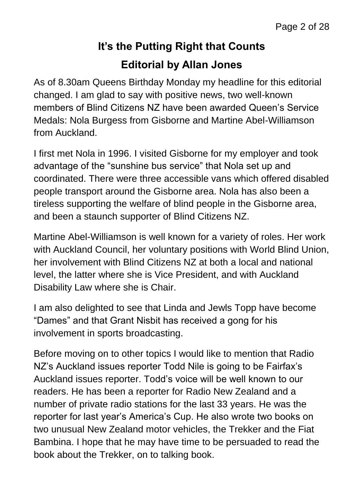# **It's the Putting Right that Counts**

#### **Editorial by Allan Jones**

As of 8.30am Queens Birthday Monday my headline for this editorial changed. I am glad to say with positive news, two well-known members of Blind Citizens NZ have been awarded Queen's Service Medals: Nola Burgess from Gisborne and Martine Abel-Williamson from Auckland.

I first met Nola in 1996. I visited Gisborne for my employer and took advantage of the "sunshine bus service" that Nola set up and coordinated. There were three accessible vans which offered disabled people transport around the Gisborne area. Nola has also been a tireless supporting the welfare of blind people in the Gisborne area, and been a staunch supporter of Blind Citizens NZ.

Martine Abel-Williamson is well known for a variety of roles. Her work with Auckland Council, her voluntary positions with World Blind Union, her involvement with Blind Citizens NZ at both a local and national level, the latter where she is Vice President, and with Auckland Disability Law where she is Chair.

I am also delighted to see that Linda and Jewls Topp have become "Dames" and that Grant Nisbit has received a gong for his involvement in sports broadcasting.

Before moving on to other topics I would like to mention that Radio NZ's Auckland issues reporter Todd Nile is going to be Fairfax's Auckland issues reporter. Todd's voice will be well known to our readers. He has been a reporter for Radio New Zealand and a number of private radio stations for the last 33 years. He was the reporter for last year's America's Cup. He also wrote two books on two unusual New Zealand motor vehicles, the Trekker and the Fiat Bambina. I hope that he may have time to be persuaded to read the book about the Trekker, on to talking book.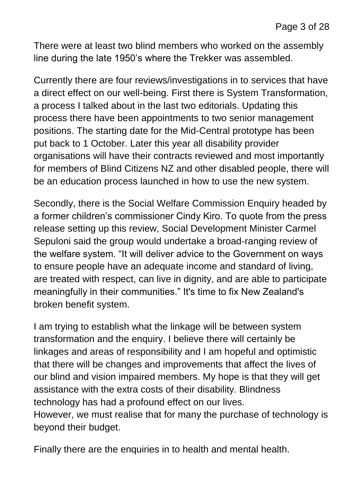There were at least two blind members who worked on the assembly line during the late 1950's where the Trekker was assembled.

Currently there are four reviews/investigations in to services that have a direct effect on our well-being. First there is System Transformation, a process I talked about in the last two editorials. Updating this process there have been appointments to two senior management positions. The starting date for the Mid-Central prototype has been put back to 1 October. Later this year all disability provider organisations will have their contracts reviewed and most importantly for members of Blind Citizens NZ and other disabled people, there will be an education process launched in how to use the new system.

Secondly, there is the Social Welfare Commission Enquiry headed by a former children's commissioner Cindy Kiro. To quote from the press release setting up this review, Social Development Minister Carmel Sepuloni said the group would undertake a broad-ranging review of the welfare system. "It will deliver advice to the Government on ways to ensure people have an adequate income and standard of living, are treated with respect, can live in dignity, and are able to participate meaningfully in their communities." It's time to fix New Zealand's broken benefit system.

I am trying to establish what the linkage will be between system transformation and the enquiry. I believe there will certainly be linkages and areas of responsibility and I am hopeful and optimistic that there will be changes and improvements that affect the lives of our blind and vision impaired members. My hope is that they will get assistance with the extra costs of their disability. Blindness technology has had a profound effect on our lives. However, we must realise that for many the purchase of technology is beyond their budget.

Finally there are the enquiries in to health and mental health.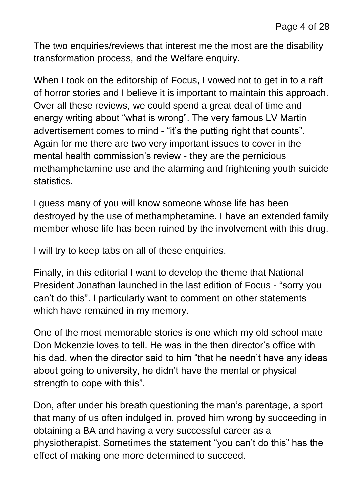The two enquiries/reviews that interest me the most are the disability transformation process, and the Welfare enquiry.

When I took on the editorship of Focus, I vowed not to get in to a raft of horror stories and I believe it is important to maintain this approach. Over all these reviews, we could spend a great deal of time and energy writing about "what is wrong". The very famous LV Martin advertisement comes to mind - "it's the putting right that counts". Again for me there are two very important issues to cover in the mental health commission's review - they are the pernicious methamphetamine use and the alarming and frightening youth suicide statistics.

I guess many of you will know someone whose life has been destroyed by the use of methamphetamine. I have an extended family member whose life has been ruined by the involvement with this drug.

I will try to keep tabs on all of these enquiries.

Finally, in this editorial I want to develop the theme that National President Jonathan launched in the last edition of Focus - "sorry you can't do this". I particularly want to comment on other statements which have remained in my memory.

One of the most memorable stories is one which my old school mate Don Mckenzie loves to tell. He was in the then director's office with his dad, when the director said to him "that he needn't have any ideas about going to university, he didn't have the mental or physical strength to cope with this".

Don, after under his breath questioning the man's parentage, a sport that many of us often indulged in, proved him wrong by succeeding in obtaining a BA and having a very successful career as a physiotherapist. Sometimes the statement "you can't do this" has the effect of making one more determined to succeed.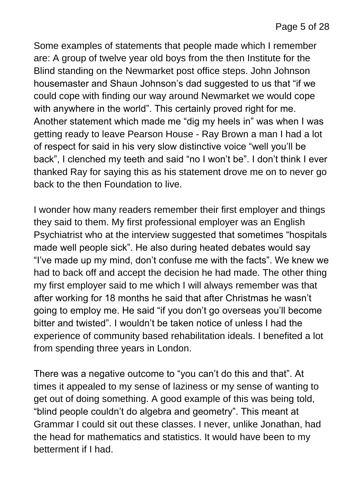Some examples of statements that people made which I remember are: A group of twelve year old boys from the then Institute for the Blind standing on the Newmarket post office steps. John Johnson housemaster and Shaun Johnson's dad suggested to us that "if we could cope with finding our way around Newmarket we would cope with anywhere in the world". This certainly proved right for me. Another statement which made me "dig my heels in" was when I was getting ready to leave Pearson House - Ray Brown a man I had a lot of respect for said in his very slow distinctive voice "well you'll be back", I clenched my teeth and said "no I won't be". I don't think I ever thanked Ray for saying this as his statement drove me on to never go back to the then Foundation to live.

I wonder how many readers remember their first employer and things they said to them. My first professional employer was an English Psychiatrist who at the interview suggested that sometimes "hospitals made well people sick". He also during heated debates would say "I've made up my mind, don't confuse me with the facts". We knew we had to back off and accept the decision he had made. The other thing my first employer said to me which I will always remember was that after working for 18 months he said that after Christmas he wasn't going to employ me. He said "if you don't go overseas you'll become bitter and twisted". I wouldn't be taken notice of unless I had the experience of community based rehabilitation ideals. I benefited a lot from spending three years in London.

There was a negative outcome to "you can't do this and that". At times it appealed to my sense of laziness or my sense of wanting to get out of doing something. A good example of this was being told, "blind people couldn't do algebra and geometry". This meant at Grammar I could sit out these classes. I never, unlike Jonathan, had the head for mathematics and statistics. It would have been to my betterment if I had.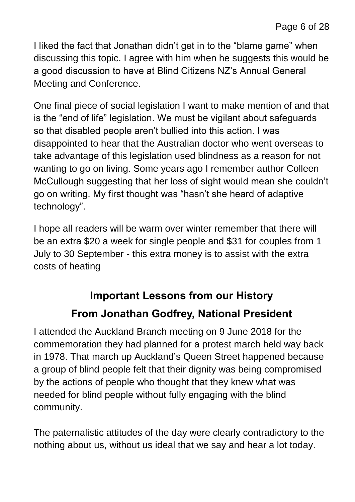I liked the fact that Jonathan didn't get in to the "blame game" when discussing this topic. I agree with him when he suggests this would be a good discussion to have at Blind Citizens NZ's Annual General Meeting and Conference.

One final piece of social legislation I want to make mention of and that is the "end of life" legislation. We must be vigilant about safeguards so that disabled people aren't bullied into this action. I was disappointed to hear that the Australian doctor who went overseas to take advantage of this legislation used blindness as a reason for not wanting to go on living. Some years ago I remember author Colleen McCullough suggesting that her loss of sight would mean she couldn't go on writing. My first thought was "hasn't she heard of adaptive technology".

I hope all readers will be warm over winter remember that there will be an extra \$20 a week for single people and \$31 for couples from 1 July to 30 September - this extra money is to assist with the extra costs of heating

## **Important Lessons from our History From Jonathan Godfrey, National President**

I attended the Auckland Branch meeting on 9 June 2018 for the commemoration they had planned for a protest march held way back in 1978. That march up Auckland's Queen Street happened because a group of blind people felt that their dignity was being compromised by the actions of people who thought that they knew what was needed for blind people without fully engaging with the blind community.

The paternalistic attitudes of the day were clearly contradictory to the nothing about us, without us ideal that we say and hear a lot today.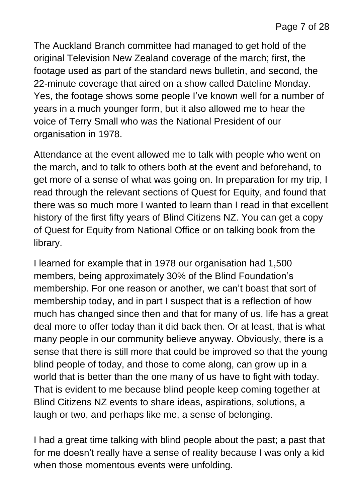The Auckland Branch committee had managed to get hold of the original Television New Zealand coverage of the march; first, the footage used as part of the standard news bulletin, and second, the 22-minute coverage that aired on a show called Dateline Monday. Yes, the footage shows some people I've known well for a number of years in a much younger form, but it also allowed me to hear the voice of Terry Small who was the National President of our organisation in 1978.

Attendance at the event allowed me to talk with people who went on the march, and to talk to others both at the event and beforehand, to get more of a sense of what was going on. In preparation for my trip, I read through the relevant sections of Quest for Equity, and found that there was so much more I wanted to learn than I read in that excellent history of the first fifty years of Blind Citizens NZ. You can get a copy of Quest for Equity from National Office or on talking book from the library.

I learned for example that in 1978 our organisation had 1,500 members, being approximately 30% of the Blind Foundation's membership. For one reason or another, we can't boast that sort of membership today, and in part I suspect that is a reflection of how much has changed since then and that for many of us, life has a great deal more to offer today than it did back then. Or at least, that is what many people in our community believe anyway. Obviously, there is a sense that there is still more that could be improved so that the young blind people of today, and those to come along, can grow up in a world that is better than the one many of us have to fight with today. That is evident to me because blind people keep coming together at Blind Citizens NZ events to share ideas, aspirations, solutions, a laugh or two, and perhaps like me, a sense of belonging.

I had a great time talking with blind people about the past; a past that for me doesn't really have a sense of reality because I was only a kid when those momentous events were unfolding.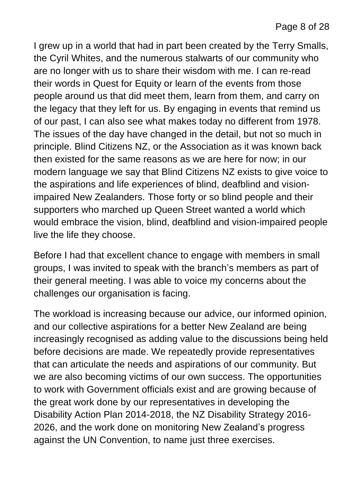I grew up in a world that had in part been created by the Terry Smalls, the Cyril Whites, and the numerous stalwarts of our community who are no longer with us to share their wisdom with me. I can re-read their words in Quest for Equity or learn of the events from those people around us that did meet them, learn from them, and carry on the legacy that they left for us. By engaging in events that remind us of our past, I can also see what makes today no different from 1978. The issues of the day have changed in the detail, but not so much in principle. Blind Citizens NZ, or the Association as it was known back then existed for the same reasons as we are here for now; in our modern language we say that Blind Citizens NZ exists to give voice to the aspirations and life experiences of blind, deafblind and visionimpaired New Zealanders. Those forty or so blind people and their supporters who marched up Queen Street wanted a world which would embrace the vision, blind, deafblind and vision-impaired people live the life they choose.

Before I had that excellent chance to engage with members in small groups, I was invited to speak with the branch's members as part of their general meeting. I was able to voice my concerns about the challenges our organisation is facing.

The workload is increasing because our advice, our informed opinion, and our collective aspirations for a better New Zealand are being increasingly recognised as adding value to the discussions being held before decisions are made. We repeatedly provide representatives that can articulate the needs and aspirations of our community. But we are also becoming victims of our own success. The opportunities to work with Government officials exist and are growing because of the great work done by our representatives in developing the Disability Action Plan 2014-2018, the NZ Disability Strategy 2016- 2026, and the work done on monitoring New Zealand's progress against the UN Convention, to name just three exercises.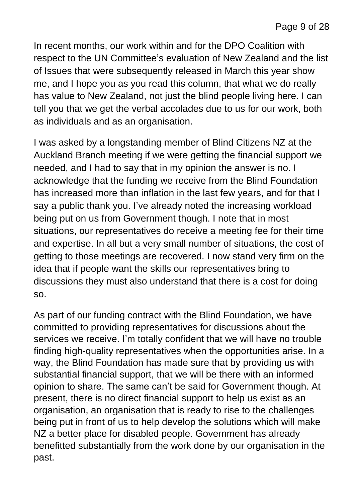In recent months, our work within and for the DPO Coalition with respect to the UN Committee's evaluation of New Zealand and the list of Issues that were subsequently released in March this year show me, and I hope you as you read this column, that what we do really has value to New Zealand, not just the blind people living here. I can tell you that we get the verbal accolades due to us for our work, both as individuals and as an organisation.

I was asked by a longstanding member of Blind Citizens NZ at the Auckland Branch meeting if we were getting the financial support we needed, and I had to say that in my opinion the answer is no. I acknowledge that the funding we receive from the Blind Foundation has increased more than inflation in the last few years, and for that I say a public thank you. I've already noted the increasing workload being put on us from Government though. I note that in most situations, our representatives do receive a meeting fee for their time and expertise. In all but a very small number of situations, the cost of getting to those meetings are recovered. I now stand very firm on the idea that if people want the skills our representatives bring to discussions they must also understand that there is a cost for doing so.

As part of our funding contract with the Blind Foundation, we have committed to providing representatives for discussions about the services we receive. I'm totally confident that we will have no trouble finding high-quality representatives when the opportunities arise. In a way, the Blind Foundation has made sure that by providing us with substantial financial support, that we will be there with an informed opinion to share. The same can't be said for Government though. At present, there is no direct financial support to help us exist as an organisation, an organisation that is ready to rise to the challenges being put in front of us to help develop the solutions which will make NZ a better place for disabled people. Government has already benefitted substantially from the work done by our organisation in the past.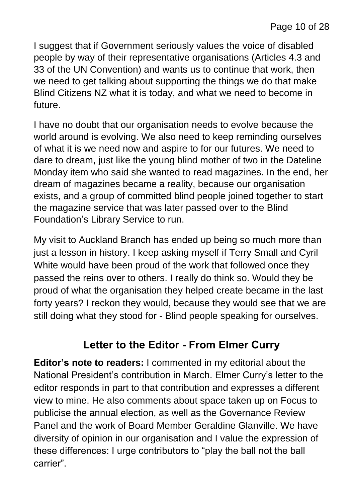I suggest that if Government seriously values the voice of disabled people by way of their representative organisations (Articles 4.3 and 33 of the UN Convention) and wants us to continue that work, then we need to get talking about supporting the things we do that make Blind Citizens NZ what it is today, and what we need to become in future.

I have no doubt that our organisation needs to evolve because the world around is evolving. We also need to keep reminding ourselves of what it is we need now and aspire to for our futures. We need to dare to dream, just like the young blind mother of two in the Dateline Monday item who said she wanted to read magazines. In the end, her dream of magazines became a reality, because our organisation exists, and a group of committed blind people joined together to start the magazine service that was later passed over to the Blind Foundation's Library Service to run.

My visit to Auckland Branch has ended up being so much more than just a lesson in history. I keep asking myself if Terry Small and Cyril White would have been proud of the work that followed once they passed the reins over to others. I really do think so. Would they be proud of what the organisation they helped create became in the last forty years? I reckon they would, because they would see that we are still doing what they stood for - Blind people speaking for ourselves.

#### **Letter to the Editor - From Elmer Curry**

**Editor's note to readers:** I commented in my editorial about the National President's contribution in March. Elmer Curry's letter to the editor responds in part to that contribution and expresses a different view to mine. He also comments about space taken up on Focus to publicise the annual election, as well as the Governance Review Panel and the work of Board Member Geraldine Glanville. We have diversity of opinion in our organisation and I value the expression of these differences: I urge contributors to "play the ball not the ball carrier".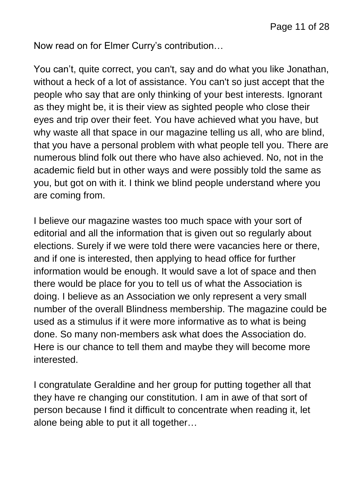Now read on for Elmer Curry's contribution…

You can't, quite correct, you can't, say and do what you like Jonathan, without a heck of a lot of assistance. You can't so just accept that the people who say that are only thinking of your best interests. Ignorant as they might be, it is their view as sighted people who close their eyes and trip over their feet. You have achieved what you have, but why waste all that space in our magazine telling us all, who are blind, that you have a personal problem with what people tell you. There are numerous blind folk out there who have also achieved. No, not in the academic field but in other ways and were possibly told the same as you, but got on with it. I think we blind people understand where you are coming from.

I believe our magazine wastes too much space with your sort of editorial and all the information that is given out so regularly about elections. Surely if we were told there were vacancies here or there, and if one is interested, then applying to head office for further information would be enough. It would save a lot of space and then there would be place for you to tell us of what the Association is doing. I believe as an Association we only represent a very small number of the overall Blindness membership. The magazine could be used as a stimulus if it were more informative as to what is being done. So many non-members ask what does the Association do. Here is our chance to tell them and maybe they will become more interested.

I congratulate Geraldine and her group for putting together all that they have re changing our constitution. I am in awe of that sort of person because I find it difficult to concentrate when reading it, let alone being able to put it all together…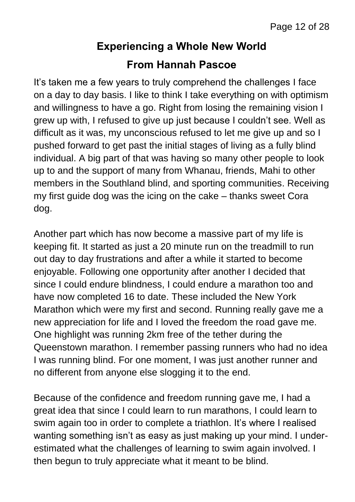# **Experiencing a Whole New World From Hannah Pascoe**

It's taken me a few years to truly comprehend the challenges I face on a day to day basis. I like to think I take everything on with optimism and willingness to have a go. Right from losing the remaining vision I grew up with, I refused to give up just because I couldn't see. Well as difficult as it was, my unconscious refused to let me give up and so I pushed forward to get past the initial stages of living as a fully blind individual. A big part of that was having so many other people to look up to and the support of many from Whanau, friends, Mahi to other members in the Southland blind, and sporting communities. Receiving my first guide dog was the icing on the cake – thanks sweet Cora dog.

Another part which has now become a massive part of my life is keeping fit. It started as just a 20 minute run on the treadmill to run out day to day frustrations and after a while it started to become enjoyable. Following one opportunity after another I decided that since I could endure blindness, I could endure a marathon too and have now completed 16 to date. These included the New York Marathon which were my first and second. Running really gave me a new appreciation for life and I loved the freedom the road gave me. One highlight was running 2km free of the tether during the Queenstown marathon. I remember passing runners who had no idea I was running blind. For one moment, I was just another runner and no different from anyone else slogging it to the end.

Because of the confidence and freedom running gave me, I had a great idea that since I could learn to run marathons, I could learn to swim again too in order to complete a triathlon. It's where I realised wanting something isn't as easy as just making up your mind. I underestimated what the challenges of learning to swim again involved. I then begun to truly appreciate what it meant to be blind.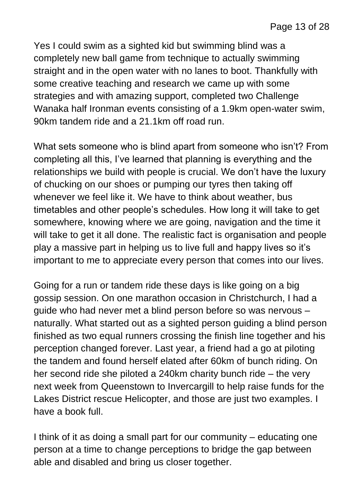Yes I could swim as a sighted kid but swimming blind was a completely new ball game from technique to actually swimming straight and in the open water with no lanes to boot. Thankfully with some creative teaching and research we came up with some strategies and with amazing support, completed two Challenge Wanaka half Ironman events consisting of a 1.9km open-water swim, 90km tandem ride and a 21.1km off road run.

What sets someone who is blind apart from someone who isn't? From completing all this, I've learned that planning is everything and the relationships we build with people is crucial. We don't have the luxury of chucking on our shoes or pumping our tyres then taking off whenever we feel like it. We have to think about weather, bus timetables and other people's schedules. How long it will take to get somewhere, knowing where we are going, navigation and the time it will take to get it all done. The realistic fact is organisation and people play a massive part in helping us to live full and happy lives so it's important to me to appreciate every person that comes into our lives.

Going for a run or tandem ride these days is like going on a big gossip session. On one marathon occasion in Christchurch, I had a guide who had never met a blind person before so was nervous – naturally. What started out as a sighted person guiding a blind person finished as two equal runners crossing the finish line together and his perception changed forever. Last year, a friend had a go at piloting the tandem and found herself elated after 60km of bunch riding. On her second ride she piloted a 240km charity bunch ride – the very next week from Queenstown to Invercargill to help raise funds for the Lakes District rescue Helicopter, and those are just two examples. I have a book full.

I think of it as doing a small part for our community – educating one person at a time to change perceptions to bridge the gap between able and disabled and bring us closer together.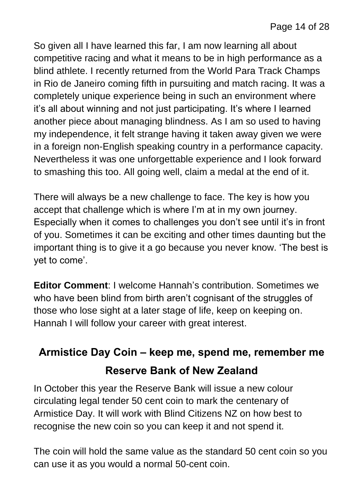So given all I have learned this far, I am now learning all about competitive racing and what it means to be in high performance as a blind athlete. I recently returned from the World Para Track Champs in Rio de Janeiro coming fifth in pursuiting and match racing. It was a completely unique experience being in such an environment where it's all about winning and not just participating. It's where I learned another piece about managing blindness. As I am so used to having my independence, it felt strange having it taken away given we were in a foreign non-English speaking country in a performance capacity. Nevertheless it was one unforgettable experience and I look forward to smashing this too. All going well, claim a medal at the end of it.

There will always be a new challenge to face. The key is how you accept that challenge which is where I'm at in my own journey. Especially when it comes to challenges you don't see until it's in front of you. Sometimes it can be exciting and other times daunting but the important thing is to give it a go because you never know. 'The best is yet to come'.

**Editor Comment**: I welcome Hannah's contribution. Sometimes we who have been blind from birth aren't cognisant of the struggles of those who lose sight at a later stage of life, keep on keeping on. Hannah I will follow your career with great interest.

# **Armistice Day Coin – keep me, spend me, remember me Reserve Bank of New Zealand**

In October this year the Reserve Bank will issue a new colour circulating legal tender 50 cent coin to mark the centenary of Armistice Day. It will work with Blind Citizens NZ on how best to recognise the new coin so you can keep it and not spend it.

The coin will hold the same value as the standard 50 cent coin so you can use it as you would a normal 50-cent coin.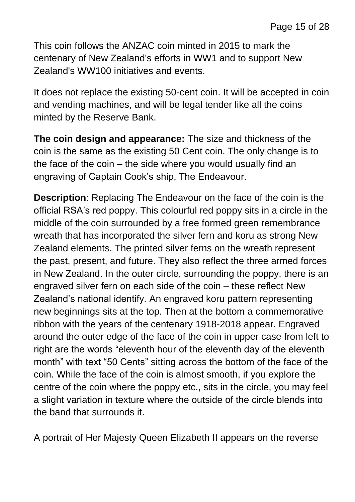This coin follows the ANZAC coin minted in 2015 to mark the centenary of New Zealand's efforts in WW1 and to support New Zealand's WW100 initiatives and events.

It does not replace the existing 50-cent coin. It will be accepted in coin and vending machines, and will be legal tender like all the coins minted by the Reserve Bank.

**The coin design and appearance:** The size and thickness of the coin is the same as the existing 50 Cent coin. The only change is to the face of the coin – the side where you would usually find an engraving of Captain Cook's ship, The Endeavour.

**Description**: Replacing The Endeavour on the face of the coin is the official RSA's red poppy. This colourful red poppy sits in a circle in the middle of the coin surrounded by a free formed green remembrance wreath that has incorporated the silver fern and koru as strong New Zealand elements. The printed silver ferns on the wreath represent the past, present, and future. They also reflect the three armed forces in New Zealand. In the outer circle, surrounding the poppy, there is an engraved silver fern on each side of the coin – these reflect New Zealand's national identify. An engraved koru pattern representing new beginnings sits at the top. Then at the bottom a commemorative ribbon with the years of the centenary 1918-2018 appear. Engraved around the outer edge of the face of the coin in upper case from left to right are the words "eleventh hour of the eleventh day of the eleventh month" with text "50 Cents" sitting across the bottom of the face of the coin. While the face of the coin is almost smooth, if you explore the centre of the coin where the poppy etc., sits in the circle, you may feel a slight variation in texture where the outside of the circle blends into the band that surrounds it.

A portrait of Her Majesty Queen Elizabeth II appears on the reverse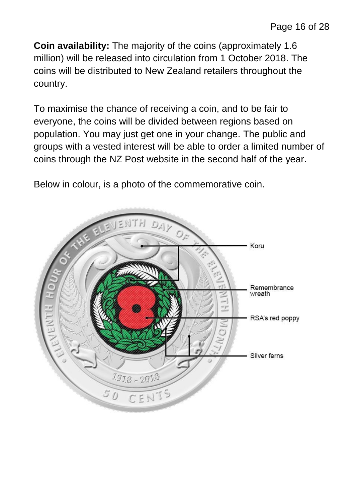**Coin availability:** The majority of the coins (approximately 1.6 million) will be released into circulation from 1 October 2018. The coins will be distributed to New Zealand retailers throughout the country.

To maximise the chance of receiving a coin, and to be fair to everyone, the coins will be divided between regions based on population. You may just get one in your change. The public and groups with a vested interest will be able to order a limited number of coins through the NZ Post website in the second half of the year.

Below in colour, is a photo of the commemorative coin.

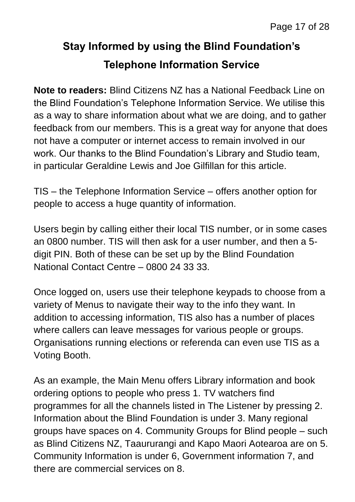# **Stay Informed by using the Blind Foundation's Telephone Information Service**

**Note to readers:** Blind Citizens NZ has a National Feedback Line on the Blind Foundation's Telephone Information Service. We utilise this as a way to share information about what we are doing, and to gather feedback from our members. This is a great way for anyone that does not have a computer or internet access to remain involved in our work. Our thanks to the Blind Foundation's Library and Studio team, in particular Geraldine Lewis and Joe Gilfillan for this article.

TIS – the Telephone Information Service – offers another option for people to access a huge quantity of information.

Users begin by calling either their local TIS number, or in some cases an 0800 number. TIS will then ask for a user number, and then a 5 digit PIN. Both of these can be set up by the Blind Foundation National Contact Centre – 0800 24 33 33.

Once logged on, users use their telephone keypads to choose from a variety of Menus to navigate their way to the info they want. In addition to accessing information, TIS also has a number of places where callers can leave messages for various people or groups. Organisations running elections or referenda can even use TIS as a Voting Booth.

As an example, the Main Menu offers Library information and book ordering options to people who press 1. TV watchers find programmes for all the channels listed in The Listener by pressing 2. Information about the Blind Foundation is under 3. Many regional groups have spaces on 4. Community Groups for Blind people – such as Blind Citizens NZ, Taaururangi and Kapo Maori Aotearoa are on 5. Community Information is under 6, Government information 7, and there are commercial services on 8.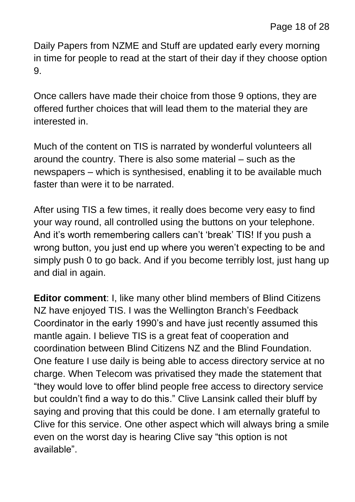Daily Papers from NZME and Stuff are updated early every morning in time for people to read at the start of their day if they choose option 9.

Once callers have made their choice from those 9 options, they are offered further choices that will lead them to the material they are interested in.

Much of the content on TIS is narrated by wonderful volunteers all around the country. There is also some material – such as the newspapers – which is synthesised, enabling it to be available much faster than were it to be narrated.

After using TIS a few times, it really does become very easy to find your way round, all controlled using the buttons on your telephone. And it's worth remembering callers can't 'break' TIS! If you push a wrong button, you just end up where you weren't expecting to be and simply push 0 to go back. And if you become terribly lost, just hang up and dial in again.

**Editor comment**: I, like many other blind members of Blind Citizens NZ have enjoyed TIS. I was the Wellington Branch's Feedback Coordinator in the early 1990's and have just recently assumed this mantle again. I believe TIS is a great feat of cooperation and coordination between Blind Citizens NZ and the Blind Foundation. One feature I use daily is being able to access directory service at no charge. When Telecom was privatised they made the statement that "they would love to offer blind people free access to directory service but couldn't find a way to do this." Clive Lansink called their bluff by saying and proving that this could be done. I am eternally grateful to Clive for this service. One other aspect which will always bring a smile even on the worst day is hearing Clive say "this option is not available".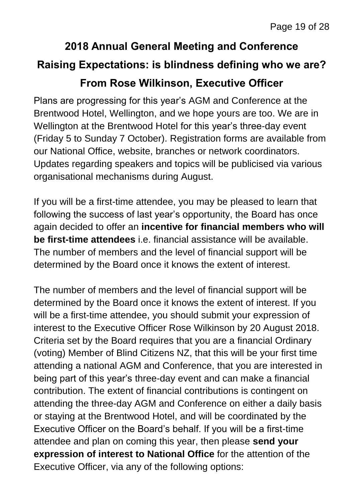# **2018 Annual General Meeting and Conference Raising Expectations: is blindness defining who we are? From Rose Wilkinson, Executive Officer**

Plans are progressing for this year's AGM and Conference at the Brentwood Hotel, Wellington, and we hope yours are too. We are in Wellington at the Brentwood Hotel for this year's three-day event (Friday 5 to Sunday 7 October). Registration forms are available from our National Office, website, branches or network coordinators. Updates regarding speakers and topics will be publicised via various organisational mechanisms during August.

If you will be a first-time attendee, you may be pleased to learn that following the success of last year's opportunity, the Board has once again decided to offer an **incentive for financial members who will be first-time attendees** i.e. financial assistance will be available. The number of members and the level of financial support will be determined by the Board once it knows the extent of interest.

The number of members and the level of financial support will be determined by the Board once it knows the extent of interest. If you will be a first-time attendee, you should submit your expression of interest to the Executive Officer Rose Wilkinson by 20 August 2018. Criteria set by the Board requires that you are a financial Ordinary (voting) Member of Blind Citizens NZ, that this will be your first time attending a national AGM and Conference, that you are interested in being part of this year's three-day event and can make a financial contribution. The extent of financial contributions is contingent on attending the three-day AGM and Conference on either a daily basis or staying at the Brentwood Hotel, and will be coordinated by the Executive Officer on the Board's behalf. If you will be a first-time attendee and plan on coming this year, then please **send your expression of interest to National Office** for the attention of the Executive Officer, via any of the following options: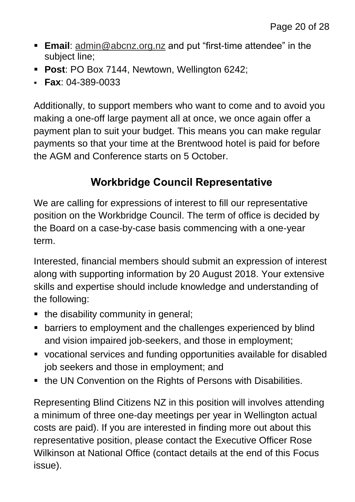- **Email**: [admin@abcnz.org.nz](mailto:admin@abcnz.org.nz) and put "first-time attendee" in the subject line;
- **Post**: PO Box 7144, Newtown, Wellington 6242;
- **Fax**: 04-389-0033

Additionally, to support members who want to come and to avoid you making a one-off large payment all at once, we once again offer a payment plan to suit your budget. This means you can make regular payments so that your time at the Brentwood hotel is paid for before the AGM and Conference starts on 5 October.

#### **Workbridge Council Representative**

We are calling for expressions of interest to fill our representative position on the Workbridge Council. The term of office is decided by the Board on a case-by-case basis commencing with a one-year term.

Interested, financial members should submit an expression of interest along with supporting information by 20 August 2018. Your extensive skills and expertise should include knowledge and understanding of the following:

- $\blacksquare$  the disability community in general;
- barriers to employment and the challenges experienced by blind and vision impaired job-seekers, and those in employment;
- vocational services and funding opportunities available for disabled job seekers and those in employment; and
- the UN Convention on the Rights of Persons with Disabilities.

Representing Blind Citizens NZ in this position will involves attending a minimum of three one-day meetings per year in Wellington actual costs are paid). If you are interested in finding more out about this representative position, please contact the Executive Officer Rose Wilkinson at National Office (contact details at the end of this Focus issue).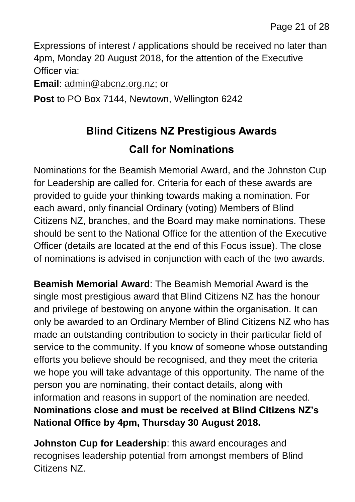Expressions of interest / applications should be received no later than 4pm, Monday 20 August 2018, for the attention of the Executive Officer via:

**Email**: [admin@abcnz.org.nz;](mailto:admin@abcnz.org.nz) or

**Post** to PO Box 7144, Newtown, Wellington 6242

## **Blind Citizens NZ Prestigious Awards Call for Nominations**

Nominations for the Beamish Memorial Award, and the Johnston Cup for Leadership are called for. Criteria for each of these awards are provided to guide your thinking towards making a nomination. For each award, only financial Ordinary (voting) Members of Blind Citizens NZ, branches, and the Board may make nominations. These should be sent to the National Office for the attention of the Executive Officer (details are located at the end of this Focus issue). The close of nominations is advised in conjunction with each of the two awards.

**Beamish Memorial Award**: The Beamish Memorial Award is the single most prestigious award that Blind Citizens NZ has the honour and privilege of bestowing on anyone within the organisation. It can only be awarded to an Ordinary Member of Blind Citizens NZ who has made an outstanding contribution to society in their particular field of service to the community. If you know of someone whose outstanding efforts you believe should be recognised, and they meet the criteria we hope you will take advantage of this opportunity. The name of the person you are nominating, their contact details, along with information and reasons in support of the nomination are needed. **Nominations close and must be received at Blind Citizens NZ's National Office by 4pm, Thursday 30 August 2018.**

**Johnston Cup for Leadership**: this award encourages and recognises leadership potential from amongst members of Blind Citizens NZ.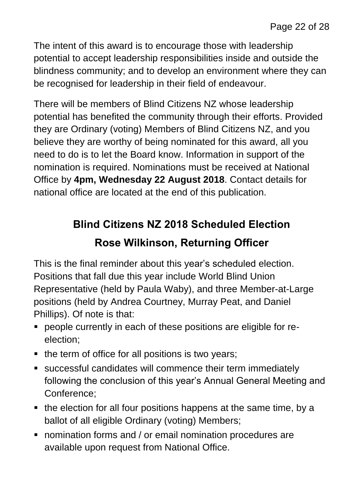The intent of this award is to encourage those with leadership potential to accept leadership responsibilities inside and outside the blindness community; and to develop an environment where they can be recognised for leadership in their field of endeavour.

There will be members of Blind Citizens NZ whose leadership potential has benefited the community through their efforts. Provided they are Ordinary (voting) Members of Blind Citizens NZ, and you believe they are worthy of being nominated for this award, all you need to do is to let the Board know. Information in support of the nomination is required. Nominations must be received at National Office by **4pm, Wednesday 22 August 2018**. Contact details for national office are located at the end of this publication.

# **Blind Citizens NZ 2018 Scheduled Election Rose Wilkinson, Returning Officer**

This is the final reminder about this year's scheduled election. Positions that fall due this year include World Blind Union Representative (held by Paula Waby), and three Member-at-Large positions (held by Andrea Courtney, Murray Peat, and Daniel Phillips). Of note is that:

- people currently in each of these positions are eligible for reelection;
- $\blacksquare$  the term of office for all positions is two years;
- successful candidates will commence their term immediately following the conclusion of this year's Annual General Meeting and Conference;
- $\blacksquare$  the election for all four positions happens at the same time, by a ballot of all eligible Ordinary (voting) Members;
- nomination forms and / or email nomination procedures are available upon request from National Office.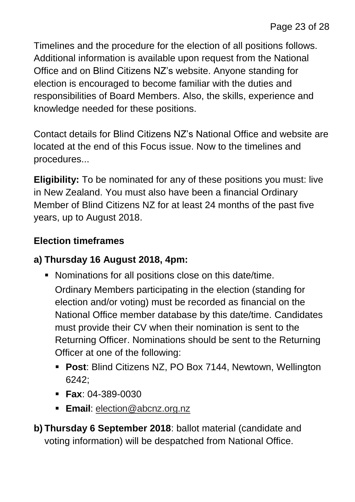Timelines and the procedure for the election of all positions follows. Additional information is available upon request from the National Office and on Blind Citizens NZ's website. Anyone standing for election is encouraged to become familiar with the duties and responsibilities of Board Members. Also, the skills, experience and knowledge needed for these positions.

Contact details for Blind Citizens NZ's National Office and website are located at the end of this Focus issue. Now to the timelines and procedures...

**Eligibility:** To be nominated for any of these positions you must: live in New Zealand. You must also have been a financial Ordinary Member of Blind Citizens NZ for at least 24 months of the past five years, up to August 2018.

#### **Election timeframes**

#### **a) Thursday 16 August 2018, 4pm:**

- Nominations for all positions close on this date/time. Ordinary Members participating in the election (standing for election and/or voting) must be recorded as financial on the National Office member database by this date/time. Candidates must provide their CV when their nomination is sent to the Returning Officer. Nominations should be sent to the Returning Officer at one of the following:
	- **Post**: Blind Citizens NZ, PO Box 7144, Newtown, Wellington 6242;
	- **Fax**: 04-389-0030
	- **Email**: [election@abcnz.org.nz](mailto:election@abcnz.org.nz)
- **b) Thursday 6 September 2018**: ballot material (candidate and voting information) will be despatched from National Office.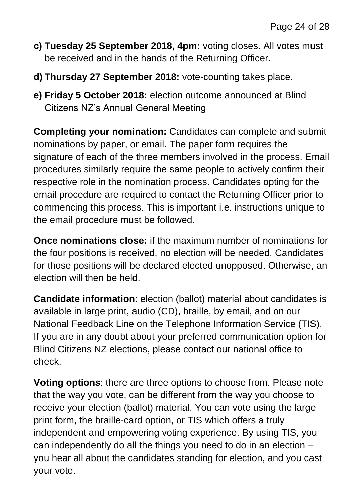- **c) Tuesday 25 September 2018, 4pm:** voting closes. All votes must be received and in the hands of the Returning Officer.
- **d) Thursday 27 September 2018:** vote-counting takes place.
- **e) Friday 5 October 2018:** election outcome announced at Blind Citizens NZ's Annual General Meeting

**Completing your nomination:** Candidates can complete and submit nominations by paper, or email. The paper form requires the signature of each of the three members involved in the process. Email procedures similarly require the same people to actively confirm their respective role in the nomination process. Candidates opting for the email procedure are required to contact the Returning Officer prior to commencing this process. This is important i.e. instructions unique to the email procedure must be followed.

**Once nominations close:** if the maximum number of nominations for the four positions is received, no election will be needed. Candidates for those positions will be declared elected unopposed. Otherwise, an election will then be held.

**Candidate information**: election (ballot) material about candidates is available in large print, audio (CD), braille, by email, and on our National Feedback Line on the Telephone Information Service (TIS). If you are in any doubt about your preferred communication option for Blind Citizens NZ elections, please contact our national office to check.

**Voting options**: there are three options to choose from. Please note that the way you vote, can be different from the way you choose to receive your election (ballot) material. You can vote using the large print form, the braille-card option, or TIS which offers a truly independent and empowering voting experience. By using TIS, you can independently do all the things you need to do in an election – you hear all about the candidates standing for election, and you cast your vote.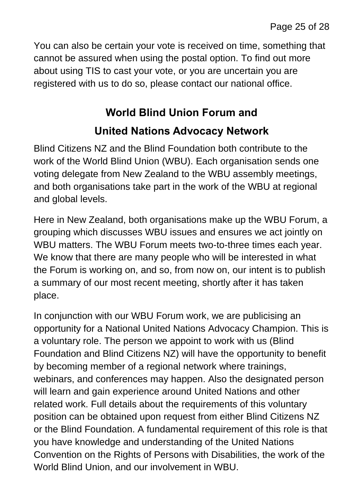You can also be certain your vote is received on time, something that cannot be assured when using the postal option. To find out more about using TIS to cast your vote, or you are uncertain you are registered with us to do so, please contact our national office.

# **World Blind Union Forum and United Nations Advocacy Network**

Blind Citizens NZ and the Blind Foundation both contribute to the work of the World Blind Union (WBU). Each organisation sends one voting delegate from New Zealand to the WBU assembly meetings, and both organisations take part in the work of the WBU at regional and global levels.

Here in New Zealand, both organisations make up the WBU Forum, a grouping which discusses WBU issues and ensures we act jointly on WBU matters. The WBU Forum meets two-to-three times each year. We know that there are many people who will be interested in what the Forum is working on, and so, from now on, our intent is to publish a summary of our most recent meeting, shortly after it has taken place.

In conjunction with our WBU Forum work, we are publicising an opportunity for a National United Nations Advocacy Champion. This is a voluntary role. The person we appoint to work with us (Blind Foundation and Blind Citizens NZ) will have the opportunity to benefit by becoming member of a regional network where trainings, webinars, and conferences may happen. Also the designated person will learn and gain experience around United Nations and other related work. Full details about the requirements of this voluntary position can be obtained upon request from either Blind Citizens NZ or the Blind Foundation. A fundamental requirement of this role is that you have knowledge and understanding of the United Nations Convention on the Rights of Persons with Disabilities, the work of the World Blind Union, and our involvement in WBU.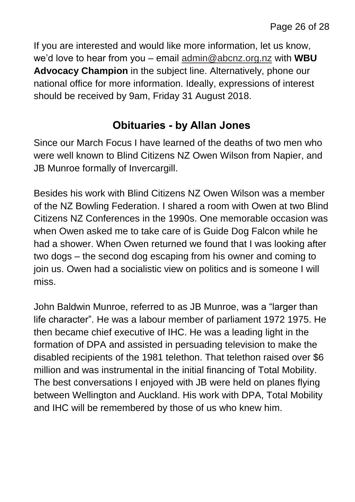If you are interested and would like more information, let us know, we'd love to hear from you – email [admin@abcnz.org.nz](mailto:admin@abcnz.org.nz) with **WBU Advocacy Champion** in the subject line. Alternatively, phone our national office for more information. Ideally, expressions of interest should be received by 9am, Friday 31 August 2018.

### **Obituaries - by Allan Jones**

Since our March Focus I have learned of the deaths of two men who were well known to Blind Citizens NZ Owen Wilson from Napier, and JB Munroe formally of Invercargill.

Besides his work with Blind Citizens NZ Owen Wilson was a member of the NZ Bowling Federation. I shared a room with Owen at two Blind Citizens NZ Conferences in the 1990s. One memorable occasion was when Owen asked me to take care of is Guide Dog Falcon while he had a shower. When Owen returned we found that I was looking after two dogs – the second dog escaping from his owner and coming to join us. Owen had a socialistic view on politics and is someone I will miss.

John Baldwin Munroe, referred to as JB Munroe, was a "larger than life character". He was a labour member of parliament 1972 1975. He then became chief executive of IHC. He was a leading light in the formation of DPA and assisted in persuading television to make the disabled recipients of the 1981 telethon. That telethon raised over \$6 million and was instrumental in the initial financing of Total Mobility. The best conversations I enjoyed with JB were held on planes flying between Wellington and Auckland. His work with DPA, Total Mobility and IHC will be remembered by those of us who knew him.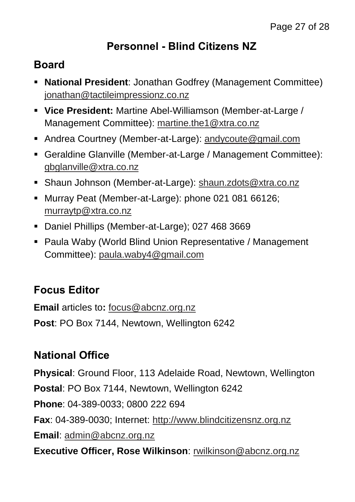### **Personnel - Blind Citizens NZ**

### **Board**

- **National President**: Jonathan Godfrey (Management Committee) [jonathan@tactileimpressionz.co.nz](mailto:jonathan@tactileimpressionz.co.nz)
- **Vice President:** Martine Abel-Williamson (Member-at-Large / Management Committee): [martine.the1@xtra.co.nz](mailto:martine.the1@xtra.co.nz)
- Andrea Courtney (Member-at-Large): [andycoute@gmail.com](mailto:andycoute@gmail.com)
- Geraldine Glanville (Member-at-Large / Management Committee): [gbglanville@xtra.co.nz](mailto:gbglanville@xtra.co.nz)
- Shaun Johnson (Member-at-Large): [shaun.zdots@xtra.co.nz](mailto:shaun.zdots@xtra.co.nz%20co.nz)
- Murray Peat (Member-at-Large): phone 021 081 66126; [murraytp@xtra.co.nz](mailto:murraytp@xtra.co.nz)
- Daniel Phillips (Member-at-Large); 027 468 3669
- Paula Waby (World Blind Union Representative / Management Committee): [paula.waby4@gmail.com](mailto:paula.waby4@gmail.com)

## **Focus Editor**

**Email** articles to**:** [focus@abcnz.org.nz](mailto:focus@abcnz.org.nz) **Post**: PO Box 7144, Newtown, Wellington 6242

## **National Office**

**Physical**: Ground Floor, 113 Adelaide Road, Newtown, Wellington **Postal**: PO Box 7144, Newtown, Wellington 6242 **Phone**: 04-389-0033; 0800 222 694 **Fax**: 04-389-0030; Internet: [http://www.blindcitizensnz.org.nz](http://www.blindcitizensnz.org.nz/) **Email**: [admin@abcnz.org.nz](mailto:admin@abcnz.org.nz) **Executive Officer, Rose Wilkinson**: [rwilkinson@abcnz.org.nz](mailto:rwilkinson@abcnz.org.nz)